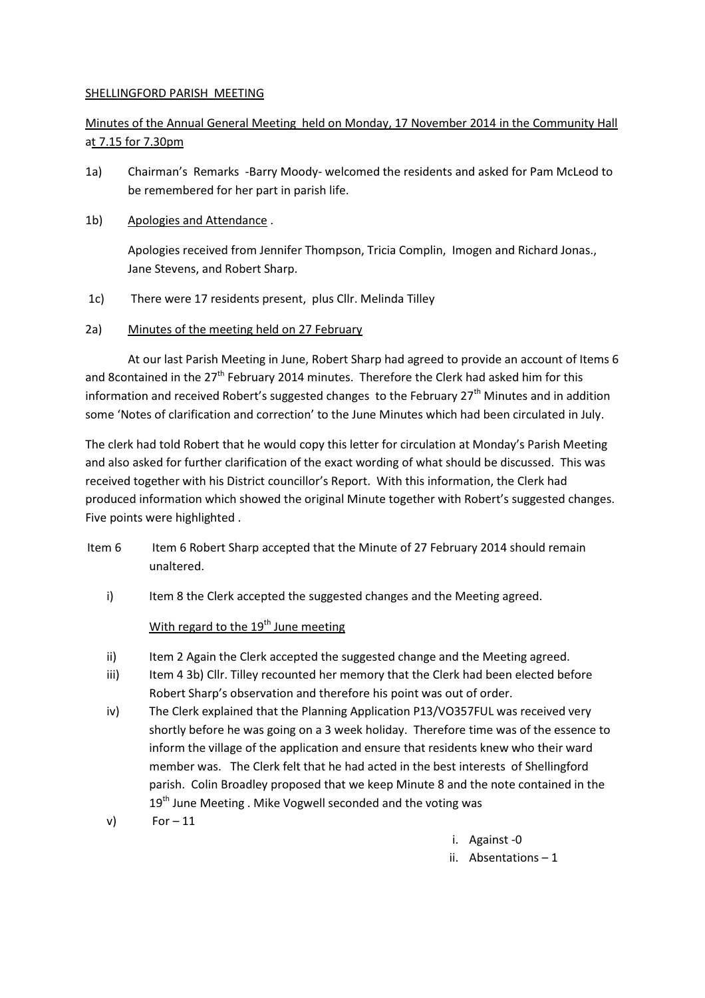## SHELLINGFORD PARISH MEETING

## Minutes of the Annual General Meeting held on Monday, 17 November 2014 in the Community Hall at 7.15 for 7.30pm

- 1a) Chairman's Remarks -Barry Moody- welcomed the residents and asked for Pam McLeod to be remembered for her part in parish life.
- 1b) Apologies and Attendance .

 Apologies received from Jennifer Thompson, Tricia Complin, Imogen and Richard Jonas., Jane Stevens, and Robert Sharp.

- 1c) There were 17 residents present, plus Cllr. Melinda Tilley
- 2a) Minutes of the meeting held on 27 February

 At our last Parish Meeting in June, Robert Sharp had agreed to provide an account of Items 6 and 8contained in the 27<sup>th</sup> February 2014 minutes. Therefore the Clerk had asked him for this information and received Robert's suggested changes to the February  $27<sup>th</sup>$  Minutes and in addition some 'Notes of clarification and correction' to the June Minutes which had been circulated in July.

The clerk had told Robert that he would copy this letter for circulation at Monday's Parish Meeting and also asked for further clarification of the exact wording of what should be discussed. This was received together with his District councillor's Report. With this information, the Clerk had produced information which showed the original Minute together with Robert's suggested changes. Five points were highlighted .

- Item 6 Item 6 Robert Sharp accepted that the Minute of 27 February 2014 should remain unaltered.
	- i) Item 8 the Clerk accepted the suggested changes and the Meeting agreed.

## With regard to the  $19<sup>th</sup>$  June meeting

- ii) Item 2 Again the Clerk accepted the suggested change and the Meeting agreed.
- iii) Item 4 3b) Cllr. Tilley recounted her memory that the Clerk had been elected before Robert Sharp's observation and therefore his point was out of order.
- iv) The Clerk explained that the Planning Application P13/VO357FUL was received very shortly before he was going on a 3 week holiday. Therefore time was of the essence to inform the village of the application and ensure that residents knew who their ward member was. The Clerk felt that he had acted in the best interests of Shellingford parish. Colin Broadley proposed that we keep Minute 8 and the note contained in the  $19<sup>th</sup>$  June Meeting . Mike Vogwell seconded and the voting was
- $v)$  For  $-11$

i. Against -0

ii. Absentations – 1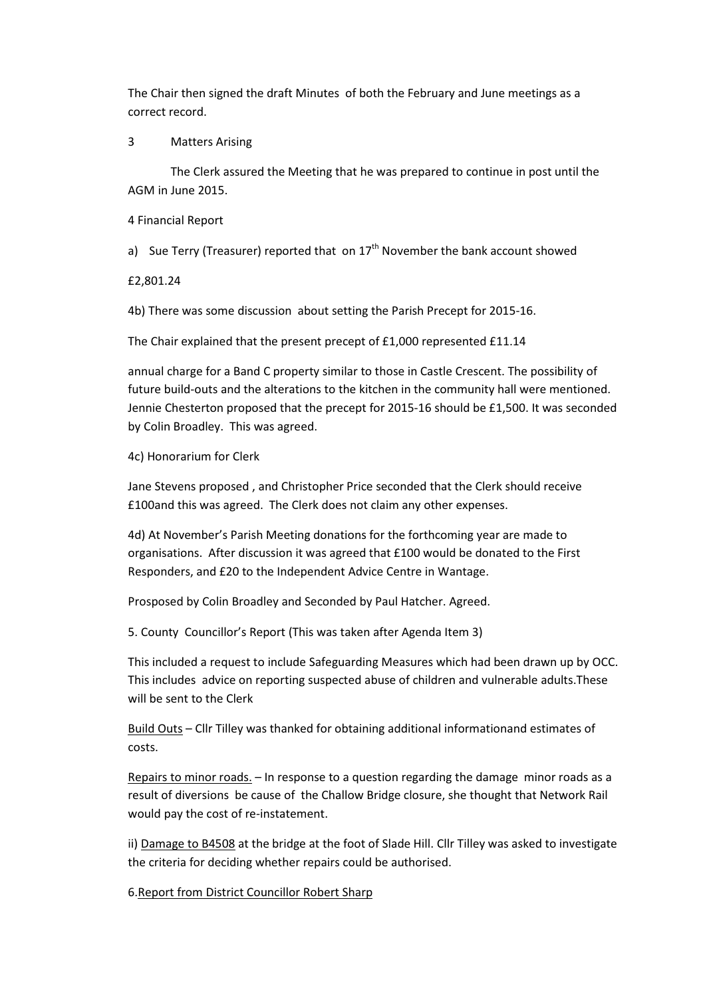The Chair then signed the draft Minutes of both the February and June meetings as a correct record.

3 Matters Arising

 The Clerk assured the Meeting that he was prepared to continue in post until the AGM in June 2015.

4 Financial Report

a) Sue Terry (Treasurer) reported that on  $17<sup>th</sup>$  November the bank account showed

£2,801.24

4b) There was some discussion about setting the Parish Precept for 2015-16.

The Chair explained that the present precept of £1,000 represented £11.14

annual charge for a Band C property similar to those in Castle Crescent. The possibility of future build-outs and the alterations to the kitchen in the community hall were mentioned. Jennie Chesterton proposed that the precept for 2015-16 should be £1,500. It was seconded by Colin Broadley. This was agreed.

4c) Honorarium for Clerk

Jane Stevens proposed , and Christopher Price seconded that the Clerk should receive £100and this was agreed. The Clerk does not claim any other expenses.

4d) At November's Parish Meeting donations for the forthcoming year are made to organisations. After discussion it was agreed that £100 would be donated to the First Responders, and £20 to the Independent Advice Centre in Wantage.

Prosposed by Colin Broadley and Seconded by Paul Hatcher. Agreed.

5. County Councillor's Report (This was taken after Agenda Item 3)

This included a request to include Safeguarding Measures which had been drawn up by OCC. This includes advice on reporting suspected abuse of children and vulnerable adults.These will be sent to the Clerk

Build Outs – Cllr Tilley was thanked for obtaining additional informationand estimates of costs.

Repairs to minor roads. – In response to a question regarding the damage minor roads as a result of diversions be cause of the Challow Bridge closure, she thought that Network Rail would pay the cost of re-instatement.

ii) Damage to B4508 at the bridge at the foot of Slade Hill. Cllr Tilley was asked to investigate the criteria for deciding whether repairs could be authorised.

6.Report from District Councillor Robert Sharp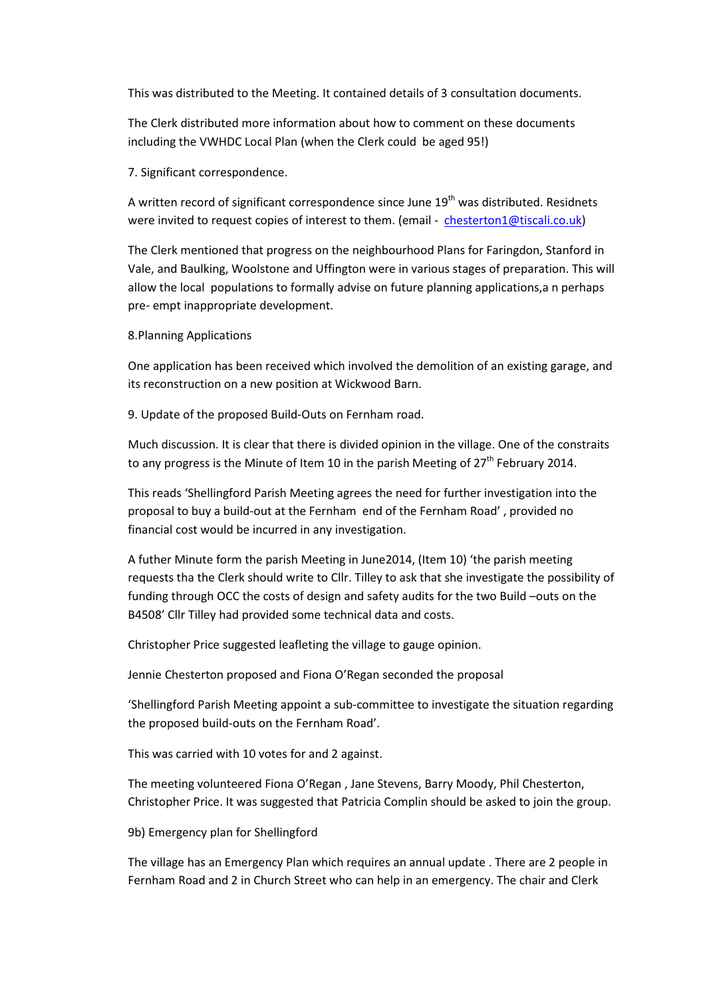This was distributed to the Meeting. It contained details of 3 consultation documents.

The Clerk distributed more information about how to comment on these documents including the VWHDC Local Plan (when the Clerk could be aged 95!)

7. Significant correspondence.

A written record of significant correspondence since June  $19<sup>th</sup>$  was distributed. Residnets were invited to request copies of interest to them. (email - chesterton1@tiscali.co.uk)

The Clerk mentioned that progress on the neighbourhood Plans for Faringdon, Stanford in Vale, and Baulking, Woolstone and Uffington were in various stages of preparation. This will allow the local populations to formally advise on future planning applications,a n perhaps pre- empt inappropriate development.

## 8.Planning Applications

One application has been received which involved the demolition of an existing garage, and its reconstruction on a new position at Wickwood Barn.

9. Update of the proposed Build-Outs on Fernham road.

Much discussion. It is clear that there is divided opinion in the village. One of the constraits to any progress is the Minute of Item 10 in the parish Meeting of  $27<sup>th</sup>$  February 2014.

This reads 'Shellingford Parish Meeting agrees the need for further investigation into the proposal to buy a build-out at the Fernham end of the Fernham Road' , provided no financial cost would be incurred in any investigation.

A futher Minute form the parish Meeting in June2014, (Item 10) 'the parish meeting requests tha the Clerk should write to Cllr. Tilley to ask that she investigate the possibility of funding through OCC the costs of design and safety audits for the two Build –outs on the B4508' Cllr Tilley had provided some technical data and costs.

Christopher Price suggested leafleting the village to gauge opinion.

Jennie Chesterton proposed and Fiona O'Regan seconded the proposal

'Shellingford Parish Meeting appoint a sub-committee to investigate the situation regarding the proposed build-outs on the Fernham Road'.

This was carried with 10 votes for and 2 against.

The meeting volunteered Fiona O'Regan , Jane Stevens, Barry Moody, Phil Chesterton, Christopher Price. It was suggested that Patricia Complin should be asked to join the group.

9b) Emergency plan for Shellingford

The village has an Emergency Plan which requires an annual update . There are 2 people in Fernham Road and 2 in Church Street who can help in an emergency. The chair and Clerk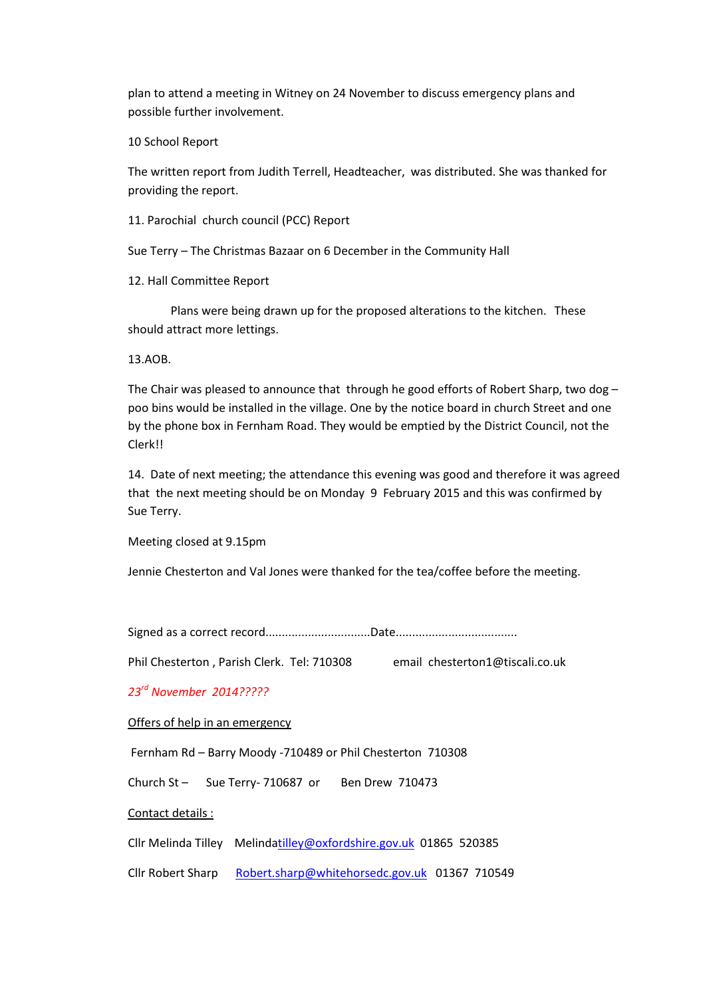plan to attend a meeting in Witney on 24 November to discuss emergency plans and possible further involvement.

10 School Report

The written report from Judith Terrell, Headteacher, was distributed. She was thanked for providing the report.

11. Parochial church council (PCC) Report

Sue Terry – The Christmas Bazaar on 6 December in the Community Hall

12. Hall Committee Report

 Plans were being drawn up for the proposed alterations to the kitchen. These should attract more lettings.

13.AOB.

The Chair was pleased to announce that through he good efforts of Robert Sharp, two dog  $$ poo bins would be installed in the village. One by the notice board in church Street and one by the phone box in Fernham Road. They would be emptied by the District Council, not the Clerk!!

14. Date of next meeting; the attendance this evening was good and therefore it was agreed that the next meeting should be on Monday 9 February 2015 and this was confirmed by Sue Terry.

Meeting closed at 9.15pm

Jennie Chesterton and Val Jones were thanked for the tea/coffee before the meeting.

Signed as a correct record................................Date.....................................

Phil Chesterton , Parish Clerk. Tel: 710308 email chesterton1@tiscali.co.uk

23rd November 2014?????

Offers of help in an emergency

Fernham Rd – Barry Moody -710489 or Phil Chesterton 710308

Church St - Sue Terry- 710687 or Ben Drew 710473

Contact details :

Cllr Melinda Tilley Melindatilley@oxfordshire.gov.uk 01865 520385

Cllr Robert Sharp Robert.sharp@whitehorsedc.gov.uk 01367 710549